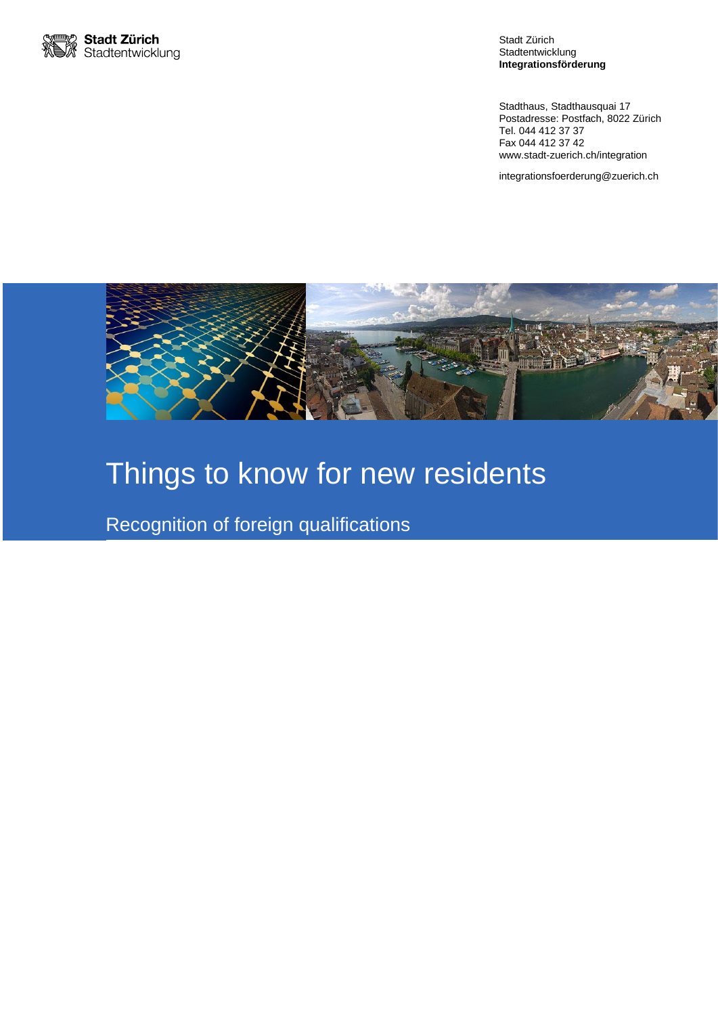

Stadt Zürich Stadtentwicklung **Integrationsförderung**

Stadthaus, Stadthausquai 17 Postadresse: Postfach, 8022 Zürich Tel. 044 412 37 37 Fax 044 412 37 42 www.stadt-zuerich.ch/integration

integrationsfoerderung@zuerich.ch



# Things to know for new residents

Recognition of foreign qualifications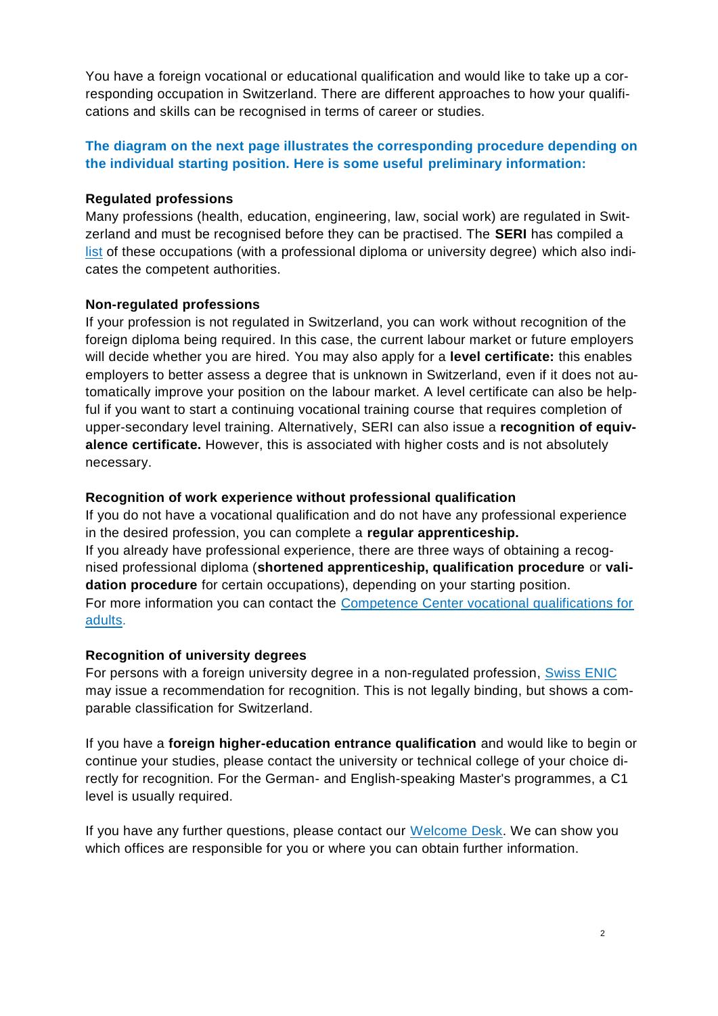You have a foreign vocational or educational qualification and would like to take up a corresponding occupation in Switzerland. There are different approaches to how your qualifications and skills can be recognised in terms of career or studies.

# **The diagram on the next page illustrates the corresponding procedure depending on the individual starting position. Here is some useful preliminary information:**

## **Regulated professions**

Many professions (health, education, engineering, law, social work) are regulated in Switzerland and must be recognised before they can be practised. The **SERI** has compiled a [list](https://www.sbfi.admin.ch/dam/sbfi/de/dokumente/2016/08/reglementierte-berufe.pdf.download.pdf/Liste_regl_Berufe_D.pdf) of these occupations (with a professional diploma or university degree) which also indicates the competent authorities.

#### **Non-regulated professions**

If your profession is not regulated in Switzerland, you can work without recognition of the foreign diploma being required. In this case, the current labour market or future employers will decide whether you are hired. You may also apply for a **level certificate:** this enables employers to better assess a degree that is unknown in Switzerland, even if it does not automatically improve your position on the labour market. A level certificate can also be helpful if you want to start a continuing vocational training course that requires completion of upper-secondary level training. Alternatively, SERI can also issue a **recognition of equivalence certificate.** However, this is associated with higher costs and is not absolutely necessary.

## **Recognition of work experience without professional qualification**

If you do not have a vocational qualification and do not have any professional experience in the desired profession, you can complete a **regular apprenticeship.** If you already have professional experience, there are three ways of obtaining a recognised professional diploma (**shortened apprenticeship, qualification procedure** or **validation procedure** for certain occupations), depending on your starting position. For more information you can contact the [Competence Center vocational qualifications for](https://ajb.zh.ch/internet/bildungsdirektion/ajb/de/berufsberatung/standorte/biz-oerlikon/fachstelle-berufsabschluss-fuer-erwachsene.html#a-content)  [adults.](https://ajb.zh.ch/internet/bildungsdirektion/ajb/de/berufsberatung/standorte/biz-oerlikon/fachstelle-berufsabschluss-fuer-erwachsene.html#a-content)

#### **Recognition of university degrees**

For persons with a foreign university degree in a non-regulated profession, [Swiss ENIC](http://www.swissuniversities.ch/fileadmin/swissuniversities/Dokumente/Lehre/ENIC/Flyer_e.pdf) may issue a recommendation for recognition. This is not legally binding, but shows a comparable classification for Switzerland.

If you have a **foreign higher-education entrance qualification** and would like to begin or continue your studies, please contact the university or technical college of your choice directly for recognition. For the German- and English-speaking Master's programmes, a C1 level is usually required.

If you have any further questions, please contact our [Welcome Desk.](https://www.stadt-zuerich.ch/prd/de/index/stadtentwicklung/integrationsfoerderung/other_languages/en/new_in_zurich.html) We can show you which offices are responsible for you or where you can obtain further information.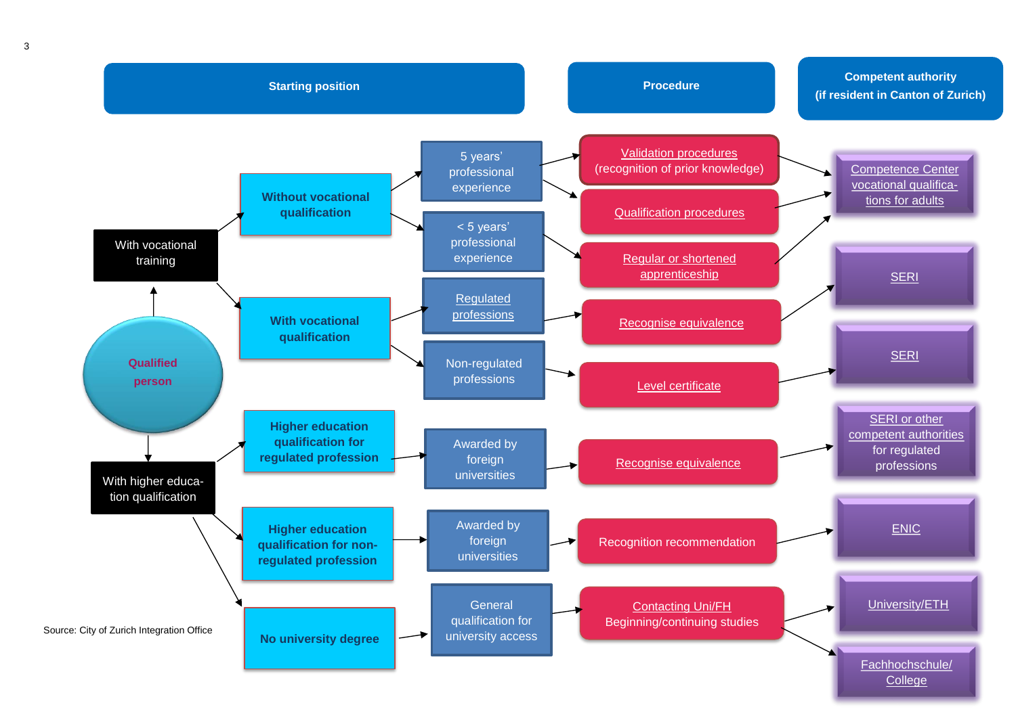